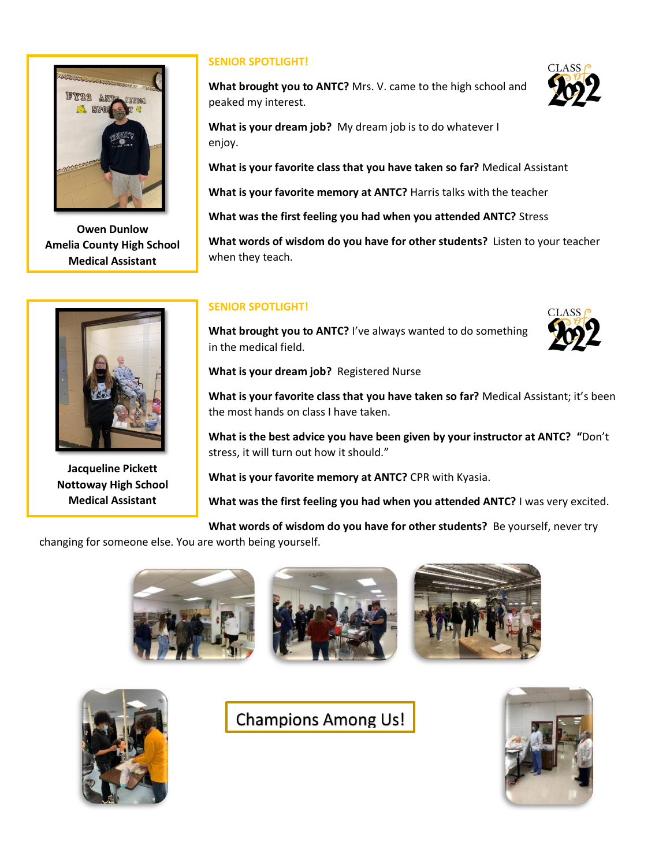

**Owen Dunlow Amelia County High School Medical Assistant**



**Jacqueline Pickett Nottoway High School Medical Assistant**

## **SENIOR SPOTLIGHT!**

**What brought you to ANTC?** Mrs. V. came to the high school and peaked my interest.



**What is your favorite class that you have taken so far?** Medical Assistant

**What is your favorite memory at ANTC?** Harris talks with the teacher

**What was the first feeling you had when you attended ANTC?** Stress

**What words of wisdom do you have for other students?** Listen to your teacher when they teach.

## **SENIOR SPOTLIGHT!**

**What brought you to ANTC?** I've always wanted to do something in the medical field.



**What is your dream job?** Registered Nurse

**What is your favorite class that you have taken so far?** Medical Assistant; it's been the most hands on class I have taken.

**What is the best advice you have been given by your instructor at ANTC? "**Don't stress, it will turn out how it should."

**What is your favorite memory at ANTC?** CPR with Kyasia.

**What was the first feeling you had when you attended ANTC?** I was very excited.

**What words of wisdom do you have for other students?** Be yourself, never try

changing for someone else. You are worth being yourself.





**Champions Among Us!**